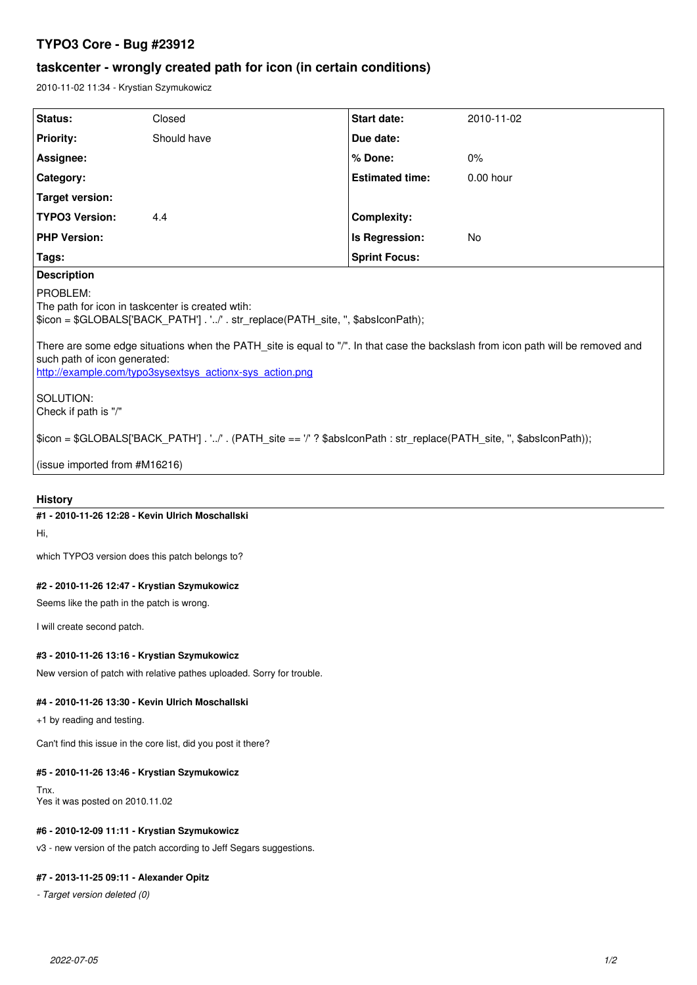# **TYPO3 Core - Bug #23912**

# **taskcenter - wrongly created path for icon (in certain conditions)**

2010-11-02 11:34 - Krystian Szymukowicz

| Status:                                                                                                                                                                                                                                                                                                                                                                                        | Closed      | <b>Start date:</b>     | 2010-11-02  |  |  |
|------------------------------------------------------------------------------------------------------------------------------------------------------------------------------------------------------------------------------------------------------------------------------------------------------------------------------------------------------------------------------------------------|-------------|------------------------|-------------|--|--|
| <b>Priority:</b>                                                                                                                                                                                                                                                                                                                                                                               | Should have | Due date:              |             |  |  |
| Assignee:                                                                                                                                                                                                                                                                                                                                                                                      |             | % Done:                | 0%          |  |  |
| Category:                                                                                                                                                                                                                                                                                                                                                                                      |             | <b>Estimated time:</b> | $0.00$ hour |  |  |
| <b>Target version:</b>                                                                                                                                                                                                                                                                                                                                                                         |             |                        |             |  |  |
| <b>TYPO3 Version:</b>                                                                                                                                                                                                                                                                                                                                                                          | 4.4         | <b>Complexity:</b>     |             |  |  |
| <b>PHP Version:</b>                                                                                                                                                                                                                                                                                                                                                                            |             | Is Regression:         | No          |  |  |
| Tags:                                                                                                                                                                                                                                                                                                                                                                                          |             | <b>Sprint Focus:</b>   |             |  |  |
| <b>Description</b>                                                                                                                                                                                                                                                                                                                                                                             |             |                        |             |  |  |
| PROBLEM:<br>The path for icon in taskcenter is created wtih:<br>\$icon = \$GLOBALS['BACK_PATH'] . '/' . str_replace(PATH_site, ", \$abslconPath);<br>There are some edge situations when the PATH site is equal to "/". In that case the backslash from icon path will be removed and<br>such path of icon generated:<br>http://example.com/typo3sysextsys_actionx-sys_action.png<br>SOLUTION: |             |                        |             |  |  |
| Check if path is "/"                                                                                                                                                                                                                                                                                                                                                                           |             |                        |             |  |  |
| \$icon = \$GLOBALS['BACK_PATH'] . '/' . (PATH_site == '/' ? \$abslconPath : str_replace(PATH_site, ", \$abslconPath));                                                                                                                                                                                                                                                                         |             |                        |             |  |  |
| (issue imported from #M16216)                                                                                                                                                                                                                                                                                                                                                                  |             |                        |             |  |  |

#### **History**

#### **#1 - 2010-11-26 12:28 - Kevin Ulrich Moschallski**

Hi,

which TYPO3 version does this patch belongs to?

### **#2 - 2010-11-26 12:47 - Krystian Szymukowicz**

Seems like the path in the patch is wrong.

I will create second patch.

#### **#3 - 2010-11-26 13:16 - Krystian Szymukowicz**

New version of patch with relative pathes uploaded. Sorry for trouble.

#### **#4 - 2010-11-26 13:30 - Kevin Ulrich Moschallski**

+1 by reading and testing.

Can't find this issue in the core list, did you post it there?

#### **#5 - 2010-11-26 13:46 - Krystian Szymukowicz**

Tnx. Yes it was posted on 2010.11.02

#### **#6 - 2010-12-09 11:11 - Krystian Szymukowicz**

v3 - new version of the patch according to Jeff Segars suggestions.

# **#7 - 2013-11-25 09:11 - Alexander Opitz**

*- Target version deleted (0)*